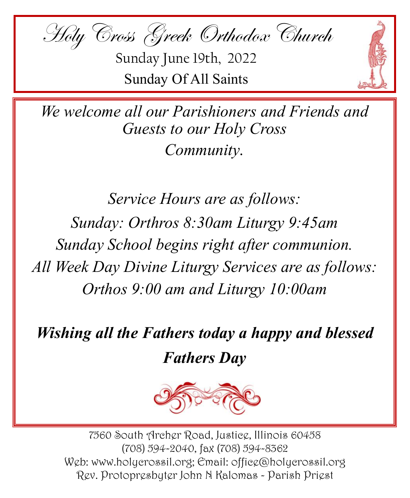

Sunday June 19th, 2022 Sunday Of All Saints



*We welcome all our Parishioners and Friends and Guests to our Holy Cross Community.*

*Service Hours are as follows: Sunday: Orthros 8:30am Liturgy 9:45am Sunday School begins right after communion. All Week Day Divine Liturgy Services are as follows: Orthos 9:00 am and Liturgy 10:00am*

*Wishing all the Fathers today a happy and blessed Fathers Day*



7560 South Archer Road, Justice, Illinois 60458 (708) 594-2040, fax (708) 594-8362 Web: www.holycrossil.org; Email: office@holycrossil.org Rev. Protopresbyter John N Kalomas - Parish Priest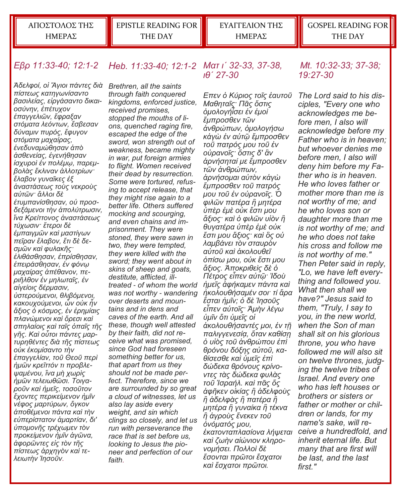ΑΠΟΣΤΟΛΟΣ ΤΗΣ ΗΜΕΡΑΣ

EPISTLE READING FOR THE DAY

ΕΥΑΓΓΕΛΙΟΝ ΤΗΣ ΗΜΕΡΑΣ

#### *Εβρ 11:33-40; 12:1-2 Heb. 11:33-40; 12:1-2 Ματ ιʹ 32-33, 37-38, ιθʹ 27-30*

*Ἀδελφοί, οἱ Ἅγιοι πάντες διὰ πίστεως κατηγωνίσαντο βασιλείας, εἰργάσαντο δικαιοσύνην, ἐπέτυχον ἐπαγγελιῶν, ἔφραξαν στόματα λεόντων, ἔσβεσαν δύναμιν πυρός, ἔφυγον στόματα μαχαίρας, ἐνεδυναμώθησαν ἀπὸ ἀσθενείας, ἐγενήθησαν ἰσχυροὶ ἐν πολέμῳ, παρεμβολὰς ἔκλιναν ἀλλοτρίων· ἔλαβον γυναῖκες ἐξ ἀναστάσεως τοὺς νεκροὺς αὐτῶν· ἄλλοι δὲ ἐτυμπανίσθησαν, οὐ προσδεξάμενοι τὴν ἀπολύτρωσιν, ἵνα Κρείττονος ἀναστάσεως τύχωσιν· ἕτεροι δὲ ἐμπαιγμῶν καὶ μαστίγων πεῖραν ἔλαβον, ἔτι δὲ δεσμῶν καὶ φυλακῆς· ἐλιθάσθησαν, ἐπρίσθησαν, ἐπειράσθησαν, ἐν φόνῳ μαχαίρας ἀπέθανον, περιῆλθον ἐν μηλωταῖς, ἐν αἰγείοις δέρμασιν, ὑστερούμενοι, θλιβόμενοι, κακουχούμενοι, ὧν οὐκ ἦν ἄξιος ὁ κόσμος, ἐν ἐρημίαις πλανώμενοι καὶ ὄρεσι καὶ σπηλαίοις καὶ ταῖς ὀπαῖς τῆς γῆς. Καὶ οὗτοι πάντες μαρτυρηθέντες διὰ τῆς πίστεως οὐκ ἐκομίσαντο τὴν ἐπαγγελίαν, τοῦ Θεοῦ περὶ ἡμῶν κρεῖττόν τι προβλεψαμένου, ἵνα μὴ χωρὶς ἡμῶν τελειωθῶσι. Τοιγαροῦν καὶ ἡμεῖς, τοσοῦτον ἔχοντες περικείμενον ἡμῖν νέφος μαρτύρων, ὄγκον ἀποθέμενοι πάντα καὶ τὴν εὐπερίστατον ἁμαρτίαν, δι' ὑπομονῆς τρέχωμεν τὸν προκείμενον ἡμῖν ἀγῶνα, ἀφορῶντες εἰς τὸν τῆς πίστεως ἀρχηγὸν καὶ τελειωτὴν Ἰησοῦν.* 

*Brethren, all the saints through faith conquered kingdoms, enforced justice, received promises, stopped the mouths of lions, quenched raging fire, escaped the edge of the sword, won strength out of weakness, became mighty in war, put foreign armies to flight. Women received their dead by resurrection. Some were tortured, refusing to accept release, that they might rise again to a better life. Others suffered mocking and scourging, and even chains and imprisonment. They were stoned, they were sawn in two, they were tempted, they were killed with the sword; they went about in skins of sheep and goats, destitute, afflicted, illtreated - of whom the world was not worthy - wandering over deserts and mountains and in dens and caves of the earth. And all these, though well attested by their faith, did not receive what was promised, since God had foreseen something better for us, that apart from us they should not be made perfect. Therefore, since we are surrounded by so great a cloud of witnesses, let us also lay aside every weight, and sin which clings so closely, and let us run with perseverance the race that is set before us, looking to Jesus the pioneer and perfection of our faith.*

*Επεν ὁ Κύριος τοῖς ἑαυτοῦ Μαθηταῖς· Πᾶς ὅστις ὁμολογήἶσει ἐν ἐμοὶ ἔμπροσθεν τῶν ἀνθρώπων, ὁμολογήσω κἀγὼ ἐν αὐτῷ ἔμπροσθεν τοῦ πατρός μου τοῦ ἐν οὐρανοῖς· ὅστις δ' ἂν ἀρνήσηταί με ἔμπροσθεν τῶν ἀνθρώπων, ἀρνήσομαι αὐτὸν κἀγὼ ἔμπροσθεν τοῦ πατρός μου τοῦ ἐν οὐρανοῖς. Ὁ φιλῶν πατέρα ἢ μητέρα ὑπὲρ ἐμὲ οὐκ ἔστι μου ἄξιος· καὶ ὁ φιλῶν υἱὸν ἢ θυγατέρα ὑπὲρ ἐμὲ οὐκ ἔστι μου ἄξιος· καὶ ὃς οὐ λαμβάνει τὸν σταυρὸν αὐτοῦ καὶ ἀκολουθεῖ ὀπίσω μου, οὐκ ἔστι μου ἄξιος. Ἀποκριθεὶς δὲ ὁ Πέτρος εἶπεν αὐτῷ· Ἰδοὺ ἡμεῖς ἀφήκαμεν πάντα καὶ ἠκολουθήσαμέν σοι· τί ἄρα ἔσται ἡμῖν; ὁ δὲ Ἰησοῦς εἶπεν αὐτοῖς· Ἀμὴν λέγω ὑμῖν ὅτι ὑμεῖς οἱ ἀκολουθήσαντές μοι, ἐν τῇ παλιγγενεσίᾳ, ὅταν καθίσῃ ὁ υἱὸς τοῦ ἀνθρώπου ἐπὶ θρόνου δόξης αὐτοῦ, καθίσεσθε καὶ ὑμεῖς ἐπὶ δώδεκα θρόνους κρίνοντες τὰς δώδεκα φυλὰς τοῦ Ἰσραήλ. καὶ πᾶς ὅς ἀφῆκεν οἰκίας ἢ ἀδελφοὺς ἢ ἀδελφὰς ἢ πατέρα ἢ μητέρα ἢ γυναίκα ἢ τέκνα ἢ ἀγροὺς ἕνεκεν τοῦ ὀνόματός μου, ἑκατονταπλασίονα λήψεται καὶ ζωὴν αἰώνιον κληρονομήσει. Πολλοὶ δὲ ἔσονται πρῶτοι ἔσχατοι καὶ ἔσχατοι πρῶτοι.* 

#### *Mt. 10:32-33; 37-38; 19:27-30*

*The Lord said to his disciples, "Every one who acknowledges me before men, I also will acknowledge before my Father who is in heaven; but whoever denies me before men, I also will deny him before my Father who is in heaven. He who loves father or mother more than me is not worthy of me; and he who loves son or daughter more than me is not worthy of me; and he who does not take his cross and follow me is not worthy of me." Then Peter said in reply, "Lo, we have left everything and followed you. What then shall we have?" Jesus said to them, "Truly, I say to you, in the new world, when the Son of man shall sit on his glorious throne, you who have followed me will also sit on twelve thrones, judging the twelve tribes of Israel. And every one who has left houses or brothers or sisters or father or mother or children or lands, for my name's sake, will receive a hundredfold, and inherit eternal life. But many that are first will be last, and the last first."*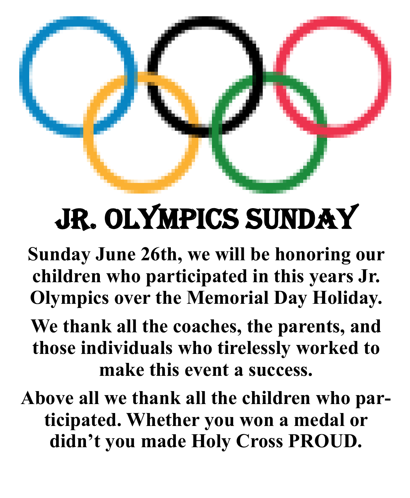# Jr. Olympics Sunday

**Sunday June 26th, we will be honoring our children who participated in this years Jr. Olympics over the Memorial Day Holiday.** 

**We thank all the coaches, the parents, and those individuals who tirelessly worked to make this event a success.** 

**Above all we thank all the children who participated. Whether you won a medal or didn't you made Holy Cross PROUD.**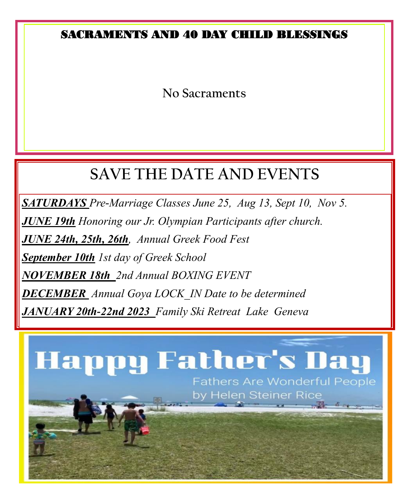## SACRAMENTS AND 40 DAY CHILD BLESSINGS

**No Sacraments**

# **SAVE THE DATE AND EVENTS**

*SATURDAYS Pre-Marriage Classes June 25, Aug 13, Sept 10, Nov 5.*

*JUNE 19th Honoring our Jr. Olympian Participants after church.*

*JUNE 24th, 25th, 26th, Annual Greek Food Fest*

*September 10th 1st day of Greek School*

*NOVEMBER 18th 2nd Annual BOXING EVENT*

*DECEMBER Annual Goya LOCK\_IN Date to be determined*

*JANUARY 20th-22nd 2023 Family Ski Retreat Lake Geneva*

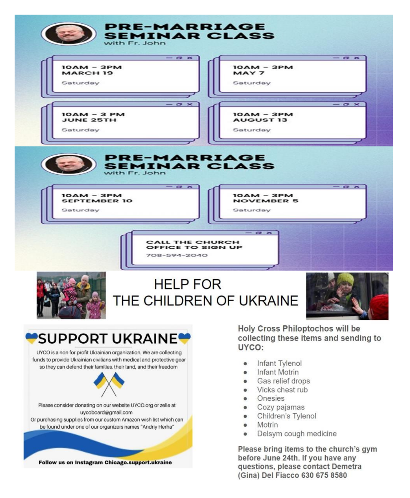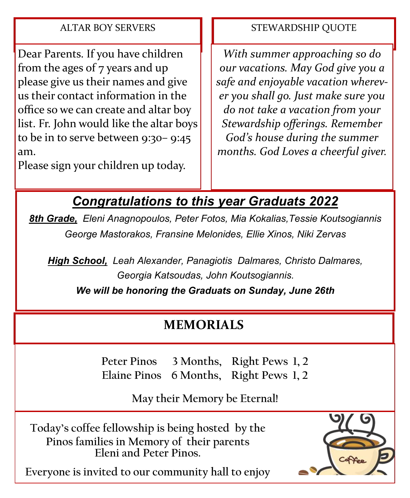#### ALTAR BOY SERVERS

Dear Parents. If you have children from the ages of 7 years and up please give us their names and give us their contact information in the office so we can create and altar boy list. Fr. John would like the altar boys to be in to serve between 9:30– 9:45 am.

Please sign your children up today.

#### STEWARDSHIP QUOTE

*With summer approaching so do our vacations. May God give you a safe and enjoyable vacation wherever you shall go. Just make sure you do not take a vacation from your Stewardship offerings. Remember God's house during the summer months. God Loves a cheerful giver.*

## *Congratulations to this year Graduats 2022*

*8th Grade, Eleni Anagnopoulos, Peter Fotos, Mia Kokalias,Tessie Koutsogiannis George Mastorakos, Fransine Melonides, Ellie Xinos, Niki Zervas*

*High School, Leah Alexander, Panagiotis Dalmares, Christo Dalmares, Georgia Katsoudas, John Koutsogiannis.*

*We will be honoring the Graduats on Sunday, June 26th*

## **MEMORIALS**

**Peter Pinos 3 Months, Right Pews 1, 2 Elaine Pinos 6 Months, Right Pews 1, 2**

**May their Memory be Eternal!**

**Today's coffee fellowship is being hosted by the Pinos families in Memory of their parents Eleni and Peter Pinos.** 



**Everyone is invited to our community hall to enjoy**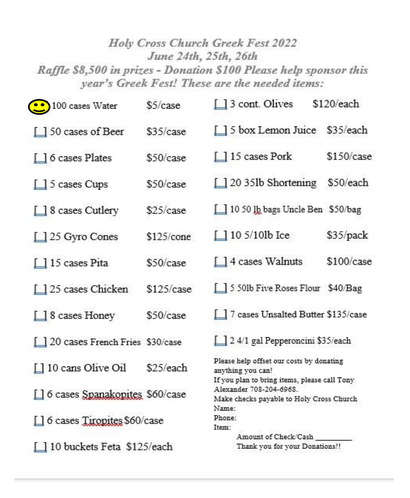### Holy Cross Church Greek Fest 2022 June 24th, 25th, 26th Raffle \$8,500 in prizes - Donation \$100 Please help sponsor this year's Greek Fest! These are the needed items:

| 100 cases Water                   | \$5/case     | $\Box$ 3 cont. Olives                                                                                                        | \$120/each |
|-----------------------------------|--------------|------------------------------------------------------------------------------------------------------------------------------|------------|
| 150 cases of Beer                 | \$35/case    | 5 box Lemon Juice \$35/each                                                                                                  |            |
| 6 cases Plates                    | \$50/case    | 115 cases Pork                                                                                                               | \$150/case |
| $\Box$ 5 cases Cups               | \$50/case    | $\Box$ 20 35lb Shortening                                                                                                    | \$50/each  |
| □ 8 cases Cutlery                 | \$25/case    | 10 50 lb bags Uncle Ben \$50/bag                                                                                             |            |
| $\Box$ 25 Gyro Cones              | $$125$ /cone | $105/10$ lb Ice                                                                                                              | \$35/pack  |
| 15 cases Pita                     | \$50/case    | $\Box$ 4 cases Walnuts                                                                                                       | \$100/case |
| 125 cases Chicken                 | \$125/case   | 550lb Five Roses Flour \$40/Bag                                                                                              |            |
| $\Box$ 8 cases Honey              | \$50/case    | 7 cases Unsalted Butter \$135/case                                                                                           |            |
| 120 cases French Fries \$30/case  |              | 1 2 4/1 gal Pepperoncini \$35/each                                                                                           |            |
| □ 10 cans Olive Oil               | \$25/each    | Please help offset our costs by donating<br>anything you can!                                                                |            |
| [] 6 cases Spanakopites \$60/case |              | If you plan to bring items, please call Tony<br>Alexander 708-204-6968.<br>Make checks payable to Holy Cross Church<br>Name: |            |
| [] 6 cases Tiropites \$60/case    |              | Phone:<br>Item:                                                                                                              |            |
| 10 buckets Feta \$125/each        |              | Amount of Check/Cash<br>Thank you for your Donations!!                                                                       |            |
|                                   |              |                                                                                                                              |            |